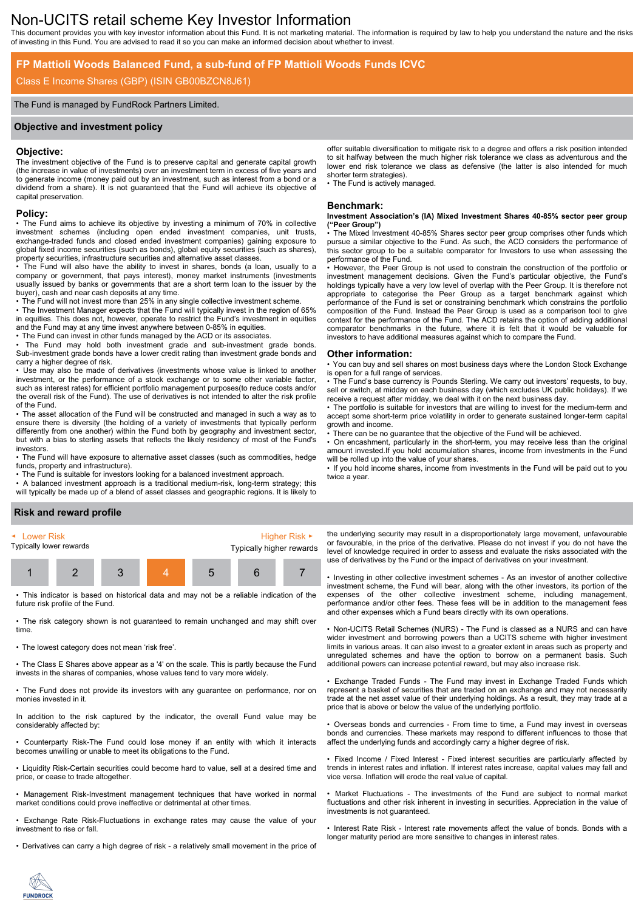# Non-UCITS retail scheme Key Investor Information

This document provides you with key investor information about this Fund. It is not marketing material. The information is required by law to help you understand the nature and the risks of investing in this Fund. You are advised to read it so you can make an informed decision about whether to invest.

### **FP Mattioli Woods Balanced Fund, a sub-fund of FP Mattioli Woods Funds ICVC**

### Class E Income Shares (GBP) (ISIN GB00BZCN8J61)

### The Fund is managed by FundRock Partners Limited.

### **Objective and investment policy**

### **Objective:**

The investment objective of the Fund is to preserve capital and generate capital growth (the increase in value of investments) over an investment term in excess of five years and to generate income (money paid out by an investment, such as interest from a bond or a dividend from a share). It is not guaranteed that the Fund will achieve its objective of capital preservation.

#### **Policy:**

• The Fund aims to achieve its objective by investing a minimum of 70% in collective investment schemes (including open ended investment companies, unit trusts, exchange-traded funds and closed ended investment companies) gaining exposure to global fixed income securities (such as bonds), global equity securities (such as shares), property securities, infrastructure securities and alternative asset classes.

• The Fund will also have the ability to invest in shares, bonds (a loan, usually to a company or government, that pays interest), money market instruments (investments usually issued by banks or governments that are a short term loan to the issuer by the buyer), cash and near cash deposits at any time.

• The Fund will not invest more than 25% in any single collective investment scheme. • The Investment Manager expects that the Fund will typically invest in the region of 65% in equities. This does not, however, operate to restrict the Fund's investment in equities and the Fund may at any time invest anywhere between 0-85% in equities.

• The Fund can invest in other funds managed by the ACD or its associates.

• The Fund may hold both investment grade and sub-investment grade bonds. Sub-investment grade bonds have a lower credit rating than investment grade bonds and carry a higher degree of risk.

• Use may also be made of derivatives (investments whose value is linked to another investment, or the performance of a stock exchange or to some other variable factor, such as interest rates) for efficient portfolio management purposes(to reduce costs and/or the overall risk of the Fund). The use of derivatives is not intended to alter the risk profile of the Fund.

• The asset allocation of the Fund will be constructed and managed in such a way as to ensure there is diversity (the holding of a variety of investments that typically perform differently from one another) within the Fund both by geography and investment sector, but with a bias to sterling assets that reflects the likely residency of most of the Fund's investors.

• The Fund will have exposure to alternative asset classes (such as commodities, hedge funds, property and infrastructure).

• The Fund is suitable for investors looking for a balanced investment approach.

• A balanced investment approach is a traditional medium-risk, long-term strategy; this will typically be made up of a blend of asset classes and geographic regions. It is likely to offer suitable diversification to mitigate risk to a degree and offers a risk position intended to sit halfway between the much higher risk tolerance we class as adventurous and the lower end risk tolerance we class as defensive (the latter is also intended for much shorter term strategies).

• The Fund is actively managed.

### **Benchmark:**

#### **Investment Association's (IA) Mixed Investment Shares 40-85% sector peer group ("Peer Group")**

The Mixed Investment 40-85% Shares sector peer group comprises other funds which pursue a similar objective to the Fund. As such, the ACD considers the performance of this sector group to be a suitable comparator for Investors to use when assessing the performance of the Fund.

• However, the Peer Group is not used to constrain the construction of the portfolio or investment management decisions. Given the Fund's particular objective, the Fund's holdings typically have a very low level of overlap with the Peer Group. It is therefore not appropriate to categorise the Peer Group as a target benchmark against which performance of the Fund is set or constraining benchmark which constrains the portfolio composition of the Fund. Instead the Peer Group is used as a comparison tool to give context for the performance of the Fund. The ACD retains the option of adding additional comparator benchmarks in the future, where it is felt that it would be valuable for investors to have additional measures against which to compare the Fund.

#### **Other information:**

• You can buy and sell shares on most business days where the London Stock Exchange is open for a full range of services.

• The Fund's base currency is Pounds Sterling. We carry out investors' requests, to buy, sell or switch, at midday on each business day (which excludes UK public holidays). If we receive a request after midday, we deal with it on the next business day.

• The portfolio is suitable for investors that are willing to invest for the medium-term and accept some short-term price volatility in order to generate sustained longer-term capital growth and income.

There can be no guarantee that the objective of the Fund will be achieved.

• On encashment, particularly in the short-term, you may receive less than the original amount invested.If you hold accumulation shares, income from investments in the Fund will be rolled up into the value of your shares.

• If you hold income shares, income from investments in the Fund will be paid out to you twice a year.

### **Risk and reward profile**



This indicator is based on historical data and may not be a reliable indication of the future risk profile of the Fund.

• The risk category shown is not guaranteed to remain unchanged and may shift over time.

• The lowest category does not mean 'risk free'.

• The Class E Shares above appear as a '4' on the scale. This is partly because the Fund invests in the shares of companies, whose values tend to vary more widely.

• The Fund does not provide its investors with any guarantee on performance, nor on monies invested in it.

In addition to the risk captured by the indicator, the overall Fund value may be considerably affected by:

• Counterparty Risk-The Fund could lose money if an entity with which it interacts becomes unwilling or unable to meet its obligations to the Fund.

• Liquidity Risk-Certain securities could become hard to value, sell at a desired time and price, or cease to trade altogether.

• Management Risk-Investment management techniques that have worked in normal market conditions could prove ineffective or detrimental at other times.

• Exchange Rate Risk-Fluctuations in exchange rates may cause the value of your investment to rise or fall.

• Derivatives can carry a high degree of risk - a relatively small movement in the price of

the underlying security may result in a disproportionately large movement, unfavourable or favourable, in the price of the derivative. Please do not invest if you do not have the level of knowledge required in order to assess and evaluate the risks associated with the use of derivatives by the Fund or the impact of derivatives on your investment.

• Investing in other collective investment schemes - As an investor of another collective investment scheme, the Fund will bear, along with the other investors, its portion of the expenses of the other collective investment scheme, including management, performance and/or other fees. These fees will be in addition to the management fees and other expenses which a Fund bears directly with its own operations.

• Non-UCITS Retail Schemes (NURS) - The Fund is classed as a NURS and can have wider investment and borrowing powers than a UCITS scheme with higher investment limits in various areas. It can also invest to a greater extent in areas such as property and unregulated schemes and have the option to borrow on a permanent basis. Such additional powers can increase potential reward, but may also increase risk.

• Exchange Traded Funds - The Fund may invest in Exchange Traded Funds which represent a basket of securities that are traded on an exchange and may not necessarily trade at the net asset value of their underlying holdings. As a result, they may trade at a price that is above or below the value of the underlying portfolio.

• Overseas bonds and currencies - From time to time, a Fund may invest in overseas bonds and currencies. These markets may respond to different influences to those that affect the underlying funds and accordingly carry a higher degree of risk.

• Fixed Income / Fixed Interest - Fixed interest securities are particularly affected by trends in interest rates and inflation. If interest rates increase, capital values may fall and vice versa. Inflation will erode the real value of capital.

• Market Fluctuations - The investments of the Fund are subject to normal market fluctuations and other risk inherent in investing in securities. Appreciation in the value of investments is not guaranteed.

• Interest Rate Risk - Interest rate movements affect the value of bonds. Bonds with a longer maturity period are more sensitive to changes in interest rates.